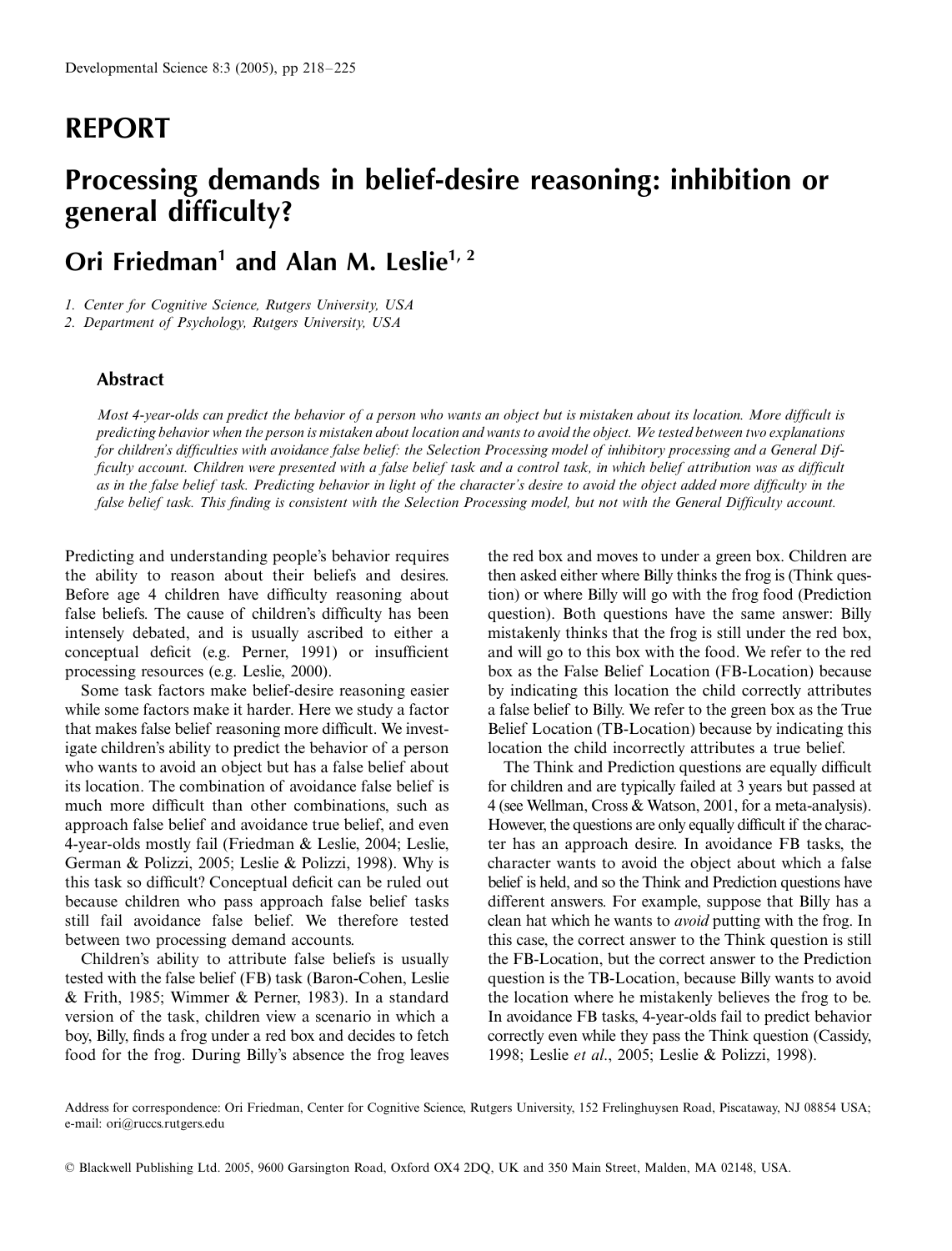## **REPORT**

# **Processing demands in belief-desire reasoning: inhibition or general difficulty?**

## Ori Friedman<sup>1</sup> and Alan M. Leslie<sup>1, 2</sup>

*1. Center for Cognitive Science, Rutgers University, USA*

*2. Department of Psychology, Rutgers University, USA* 

### **Abstract**

*Most 4-year-olds can predict the behavior of a person who wants an object but is mistaken about its location. More difficult is predicting behavior when the person is mistaken about location and wants to avoid the object. We tested between two explanations for children's difficulties with avoidance false belief: the Selection Processing model of inhibitory processing and a General Difficulty account. Children were presented with a false belief task and a control task, in which belief attribution was as difficult as in the false belief task. Predicting behavior in light of the character's desire to avoid the object added more difficulty in the false belief task. This finding is consistent with the Selection Processing model, but not with the General Difficulty account.*

Predicting and understanding people's behavior requires the ability to reason about their beliefs and desires. Before age 4 children have difficulty reasoning about false beliefs. The cause of children's difficulty has been intensely debated, and is usually ascribed to either a conceptual deficit (e.g. Perner, 1991) or insufficient processing resources (e.g. Leslie, 2000).

Some task factors make belief-desire reasoning easier while some factors make it harder. Here we study a factor that makes false belief reasoning more difficult. We investigate children's ability to predict the behavior of a person who wants to avoid an object but has a false belief about its location. The combination of avoidance false belief is much more difficult than other combinations, such as approach false belief and avoidance true belief, and even 4-year-olds mostly fail (Friedman & Leslie, 2004; Leslie, German & Polizzi, 2005; Leslie & Polizzi, 1998). Why is this task so difficult? Conceptual deficit can be ruled out because children who pass approach false belief tasks still fail avoidance false belief. We therefore tested between two processing demand accounts.

Children's ability to attribute false beliefs is usually tested with the false belief (FB) task (Baron-Cohen, Leslie & Frith, 1985; Wimmer & Perner, 1983). In a standard version of the task, children view a scenario in which a boy, Billy, finds a frog under a red box and decides to fetch food for the frog. During Billy's absence the frog leaves

the red box and moves to under a green box. Children are then asked either where Billy thinks the frog is (Think question) or where Billy will go with the frog food (Prediction question). Both questions have the same answer: Billy mistakenly thinks that the frog is still under the red box, and will go to this box with the food. We refer to the red box as the False Belief Location (FB-Location) because by indicating this location the child correctly attributes a false belief to Billy. We refer to the green box as the True Belief Location (TB-Location) because by indicating this location the child incorrectly attributes a true belief.

The Think and Prediction questions are equally difficult for children and are typically failed at 3 years but passed at 4 (see Wellman, Cross & Watson, 2001, for a meta-analysis). However, the questions are only equally difficult if the character has an approach desire. In avoidance FB tasks, the character wants to avoid the object about which a false belief is held, and so the Think and Prediction questions have different answers. For example, suppose that Billy has a clean hat which he wants to *avoid* putting with the frog. In this case, the correct answer to the Think question is still the FB-Location, but the correct answer to the Prediction question is the TB-Location, because Billy wants to avoid the location where he mistakenly believes the frog to be. In avoidance FB tasks, 4-year-olds fail to predict behavior correctly even while they pass the Think question (Cassidy, 1998; Leslie *et al*., 2005; Leslie & Polizzi, 1998).

Address for correspondence: Ori Friedman, Center for Cognitive Science, Rutgers University, 152 Frelinghuysen Road, Piscataway, NJ 08854 USA; e-mail: ori@ruccs.rutgers.edu

© Blackwell Publishing Ltd. 2005, 9600 Garsington Road, Oxford OX4 2DQ, UK and 350 Main Street, Malden, MA 02148, USA.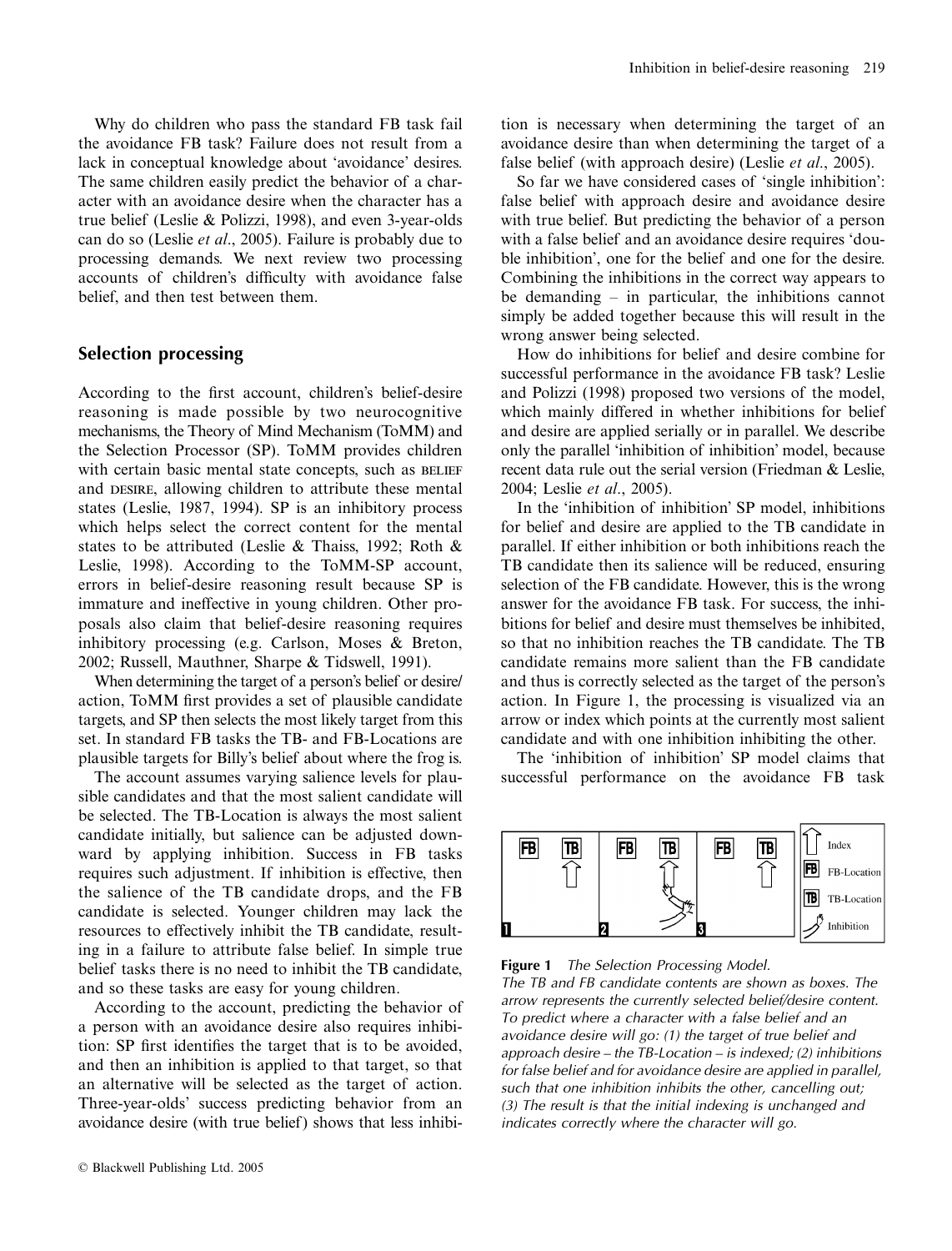Why do children who pass the standard FB task fail the avoidance FB task? Failure does not result from a lack in conceptual knowledge about 'avoidance' desires. The same children easily predict the behavior of a character with an avoidance desire when the character has a true belief (Leslie & Polizzi, 1998), and even 3-year-olds can do so (Leslie *et al*., 2005). Failure is probably due to processing demands. We next review two processing accounts of children's difficulty with avoidance false belief, and then test between them.

## **Selection processing**

According to the first account, children's belief-desire reasoning is made possible by two neurocognitive mechanisms, the Theory of Mind Mechanism (ToMM) and the Selection Processor (SP). ToMM provides children with certain basic mental state concepts, such as BELIEF and DESIRE, allowing children to attribute these mental states (Leslie, 1987, 1994). SP is an inhibitory process which helps select the correct content for the mental states to be attributed (Leslie & Thaiss, 1992; Roth & Leslie, 1998). According to the ToMM-SP account, errors in belief-desire reasoning result because SP is immature and ineffective in young children. Other proposals also claim that belief-desire reasoning requires inhibitory processing (e.g. Carlson, Moses & Breton, 2002; Russell, Mauthner, Sharpe & Tidswell, 1991).

When determining the target of a person's belief or desire/ action, ToMM first provides a set of plausible candidate targets, and SP then selects the most likely target from this set. In standard FB tasks the TB- and FB-Locations are plausible targets for Billy's belief about where the frog is.

The account assumes varying salience levels for plausible candidates and that the most salient candidate will be selected. The TB-Location is always the most salient candidate initially, but salience can be adjusted downward by applying inhibition. Success in FB tasks requires such adjustment. If inhibition is effective, then the salience of the TB candidate drops, and the FB candidate is selected. Younger children may lack the resources to effectively inhibit the TB candidate, resulting in a failure to attribute false belief. In simple true belief tasks there is no need to inhibit the TB candidate, and so these tasks are easy for young children.

According to the account, predicting the behavior of a person with an avoidance desire also requires inhibition: SP first identifies the target that is to be avoided, and then an inhibition is applied to that target, so that an alternative will be selected as the target of action. Three-year-olds' success predicting behavior from an avoidance desire (with true belief) shows that less inhibition is necessary when determining the target of an avoidance desire than when determining the target of a false belief (with approach desire) (Leslie *et al*., 2005).

So far we have considered cases of 'single inhibition': false belief with approach desire and avoidance desire with true belief. But predicting the behavior of a person with a false belief and an avoidance desire requires 'double inhibition', one for the belief and one for the desire. Combining the inhibitions in the correct way appears to be demanding  $-$  in particular, the inhibitions cannot simply be added together because this will result in the wrong answer being selected.

How do inhibitions for belief and desire combine for successful performance in the avoidance FB task? Leslie and Polizzi (1998) proposed two versions of the model, which mainly differed in whether inhibitions for belief and desire are applied serially or in parallel. We describe only the parallel 'inhibition of inhibition' model, because recent data rule out the serial version (Friedman & Leslie, 2004; Leslie *et al*., 2005).

In the 'inhibition of inhibition' SP model, inhibitions for belief and desire are applied to the TB candidate in parallel. If either inhibition or both inhibitions reach the TB candidate then its salience will be reduced, ensuring selection of the FB candidate. However, this is the wrong answer for the avoidance FB task. For success, the inhibitions for belief and desire must themselves be inhibited, so that no inhibition reaches the TB candidate. The TB candidate remains more salient than the FB candidate and thus is correctly selected as the target of the person's action. In Figure 1, the processing is visualized via an arrow or index which points at the currently most salient candidate and with one inhibition inhibiting the other.

The 'inhibition of inhibition' SP model claims that successful performance on the avoidance FB task



**Figure 1** *The Selection Processing Model.*

*The TB and FB candidate contents are shown as boxes. The arrow represents the currently selected belief/desire content. To predict where a character with a false belief and an avoidance desire will go: (1) the target of true belief and approach desire – the TB-Location – is indexed; (2) inhibitions for false belief and for avoidance desire are applied in parallel, such that one inhibition inhibits the other, cancelling out; (3) The result is that the initial indexing is unchanged and indicates correctly where the character will go.*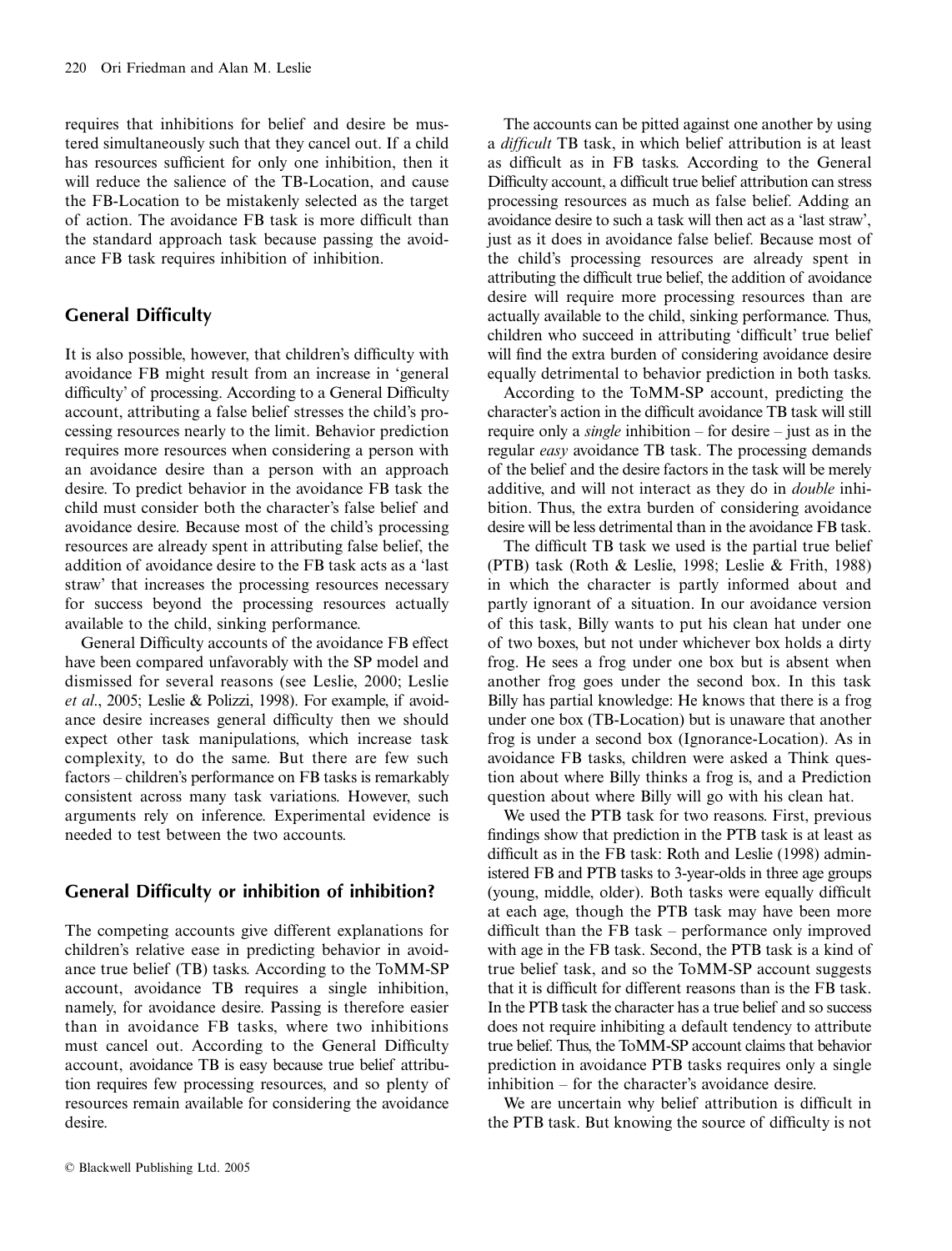requires that inhibitions for belief and desire be mustered simultaneously such that they cancel out. If a child has resources sufficient for only one inhibition, then it will reduce the salience of the TB-Location, and cause the FB-Location to be mistakenly selected as the target of action. The avoidance FB task is more difficult than the standard approach task because passing the avoidance FB task requires inhibition of inhibition.

## **General Difficulty**

It is also possible, however, that children's difficulty with avoidance FB might result from an increase in 'general difficulty' of processing. According to a General Difficulty account, attributing a false belief stresses the child's processing resources nearly to the limit. Behavior prediction requires more resources when considering a person with an avoidance desire than a person with an approach desire. To predict behavior in the avoidance FB task the child must consider both the character's false belief and avoidance desire. Because most of the child's processing resources are already spent in attributing false belief, the addition of avoidance desire to the FB task acts as a 'last straw' that increases the processing resources necessary for success beyond the processing resources actually available to the child, sinking performance.

General Difficulty accounts of the avoidance FB effect have been compared unfavorably with the SP model and dismissed for several reasons (see Leslie, 2000; Leslie *et al*., 2005; Leslie & Polizzi, 1998). For example, if avoidance desire increases general difficulty then we should expect other task manipulations, which increase task complexity, to do the same. But there are few such factors – children's performance on FB tasks is remarkably consistent across many task variations. However, such arguments rely on inference. Experimental evidence is needed to test between the two accounts.

## **General Difficulty or inhibition of inhibition?**

The competing accounts give different explanations for children's relative ease in predicting behavior in avoidance true belief (TB) tasks. According to the ToMM-SP account, avoidance TB requires a single inhibition, namely, for avoidance desire. Passing is therefore easier than in avoidance FB tasks, where two inhibitions must cancel out. According to the General Difficulty account, avoidance TB is easy because true belief attribution requires few processing resources, and so plenty of resources remain available for considering the avoidance desire.

The accounts can be pitted against one another by using a *difficult* TB task, in which belief attribution is at least as difficult as in FB tasks. According to the General Difficulty account, a difficult true belief attribution can stress processing resources as much as false belief. Adding an avoidance desire to such a task will then act as a 'last straw', just as it does in avoidance false belief. Because most of the child's processing resources are already spent in attributing the difficult true belief, the addition of avoidance desire will require more processing resources than are actually available to the child, sinking performance. Thus, children who succeed in attributing 'difficult' true belief will find the extra burden of considering avoidance desire equally detrimental to behavior prediction in both tasks.

According to the ToMM-SP account, predicting the character's action in the difficult avoidance TB task will still require only a *single* inhibition – for desire – just as in the regular *easy* avoidance TB task. The processing demands of the belief and the desire factors in the task will be merely additive, and will not interact as they do in *double* inhibition. Thus, the extra burden of considering avoidance desire will be less detrimental than in the avoidance FB task.

The difficult TB task we used is the partial true belief (PTB) task (Roth & Leslie, 1998; Leslie & Frith, 1988) in which the character is partly informed about and partly ignorant of a situation. In our avoidance version of this task, Billy wants to put his clean hat under one of two boxes, but not under whichever box holds a dirty frog. He sees a frog under one box but is absent when another frog goes under the second box. In this task Billy has partial knowledge: He knows that there is a frog under one box (TB-Location) but is unaware that another frog is under a second box (Ignorance-Location). As in avoidance FB tasks, children were asked a Think question about where Billy thinks a frog is, and a Prediction question about where Billy will go with his clean hat.

We used the PTB task for two reasons. First, previous findings show that prediction in the PTB task is at least as difficult as in the FB task: Roth and Leslie (1998) administered FB and PTB tasks to 3-year-olds in three age groups (young, middle, older). Both tasks were equally difficult at each age, though the PTB task may have been more difficult than the FB task – performance only improved with age in the FB task. Second, the PTB task is a kind of true belief task, and so the ToMM-SP account suggests that it is difficult for different reasons than is the FB task. In the PTB task the character has a true belief and so success does not require inhibiting a default tendency to attribute true belief. Thus, the ToMM-SP account claims that behavior prediction in avoidance PTB tasks requires only a single inhibition – for the character's avoidance desire.

We are uncertain why belief attribution is difficult in the PTB task. But knowing the source of difficulty is not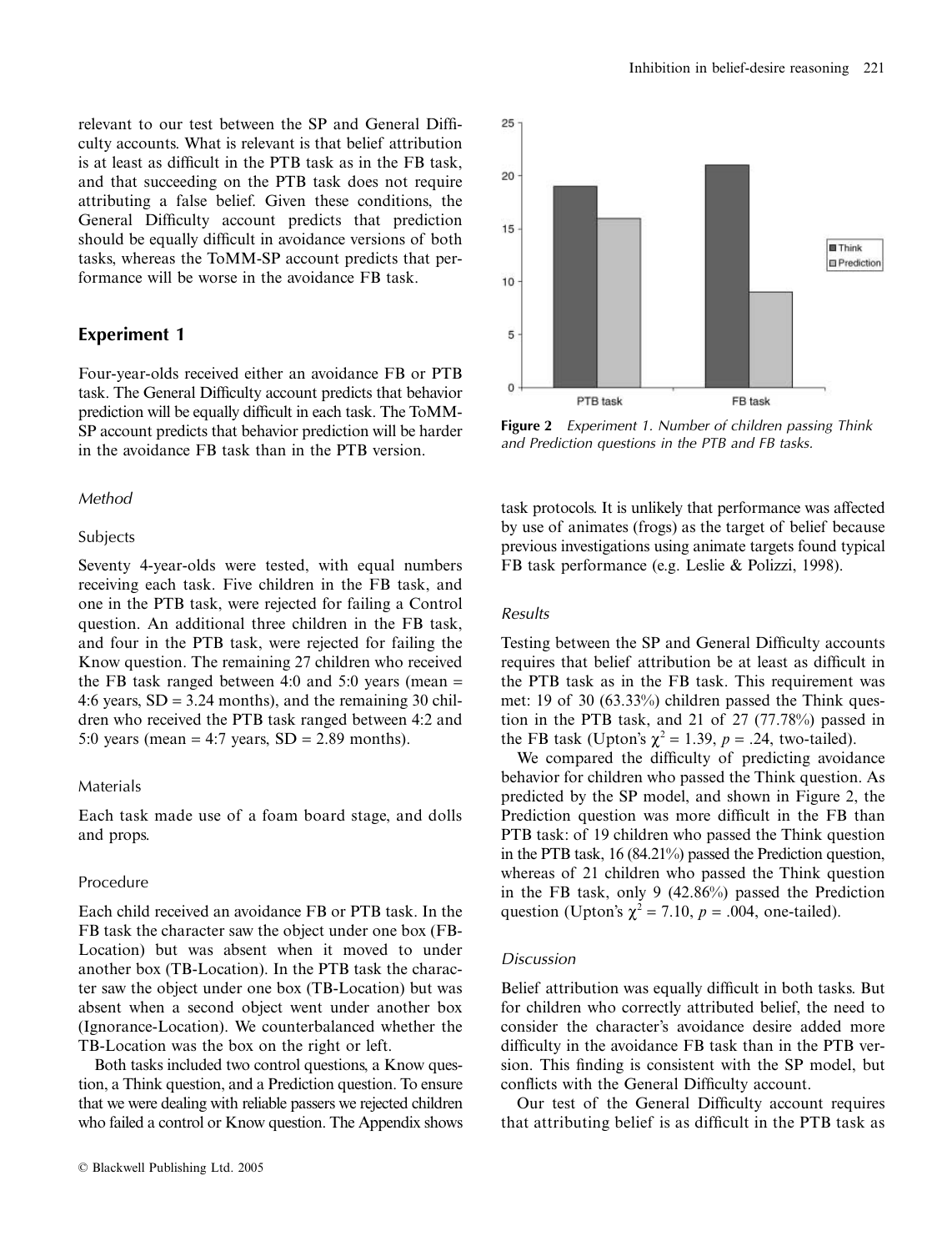relevant to our test between the SP and General Difficulty accounts. What is relevant is that belief attribution is at least as difficult in the PTB task as in the FB task, and that succeeding on the PTB task does not require attributing a false belief. Given these conditions, the General Difficulty account predicts that prediction should be equally difficult in avoidance versions of both tasks, whereas the ToMM-SP account predicts that performance will be worse in the avoidance FB task.

## **Experiment 1**

Four-year-olds received either an avoidance FB or PTB task. The General Difficulty account predicts that behavior prediction will be equally difficult in each task. The ToMM-SP account predicts that behavior prediction will be harder in the avoidance FB task than in the PTB version.

### *Method*

#### Subjects

Seventy 4-year-olds were tested, with equal numbers receiving each task. Five children in the FB task, and one in the PTB task, were rejected for failing a Control question. An additional three children in the FB task, and four in the PTB task, were rejected for failing the Know question. The remaining 27 children who received the FB task ranged between 4:0 and 5:0 years (mean  $=$ 4:6 years,  $SD = 3.24$  months), and the remaining 30 children who received the PTB task ranged between 4:2 and 5:0 years (mean = 4:7 years,  $SD = 2.89$  months).

#### Materials

Each task made use of a foam board stage, and dolls and props.

#### Procedure

Each child received an avoidance FB or PTB task. In the FB task the character saw the object under one box (FB-Location) but was absent when it moved to under another box (TB-Location). In the PTB task the character saw the object under one box (TB-Location) but was absent when a second object went under another box (Ignorance-Location). We counterbalanced whether the TB-Location was the box on the right or left.

Both tasks included two control questions, a Know question, a Think question, and a Prediction question. To ensure that we were dealing with reliable passers we rejected children who failed a control or Know question. The Appendix shows



**Figure 2** *Experiment 1. Number of children passing Think and Prediction questions in the PTB and FB tasks.*

task protocols. It is unlikely that performance was affected by use of animates (frogs) as the target of belief because previous investigations using animate targets found typical FB task performance (e.g. Leslie & Polizzi, 1998).

### *Results*

Testing between the SP and General Difficulty accounts requires that belief attribution be at least as difficult in the PTB task as in the FB task. This requirement was met: 19 of 30 (63.33%) children passed the Think question in the PTB task, and 21 of 27 (77.78%) passed in the FB task (Upton's  $\chi^2 = 1.39$ ,  $p = .24$ , two-tailed).

We compared the difficulty of predicting avoidance behavior for children who passed the Think question. As predicted by the SP model, and shown in Figure 2, the Prediction question was more difficult in the FB than PTB task: of 19 children who passed the Think question in the PTB task, 16 (84.21%) passed the Prediction question, whereas of 21 children who passed the Think question in the FB task, only 9 (42.86%) passed the Prediction question (Upton's  $\chi^2 = 7.10$ ,  $p = .004$ , one-tailed).

#### *Discussion*

Belief attribution was equally difficult in both tasks. But for children who correctly attributed belief, the need to consider the character's avoidance desire added more difficulty in the avoidance FB task than in the PTB version. This finding is consistent with the SP model, but conflicts with the General Difficulty account.

Our test of the General Difficulty account requires that attributing belief is as difficult in the PTB task as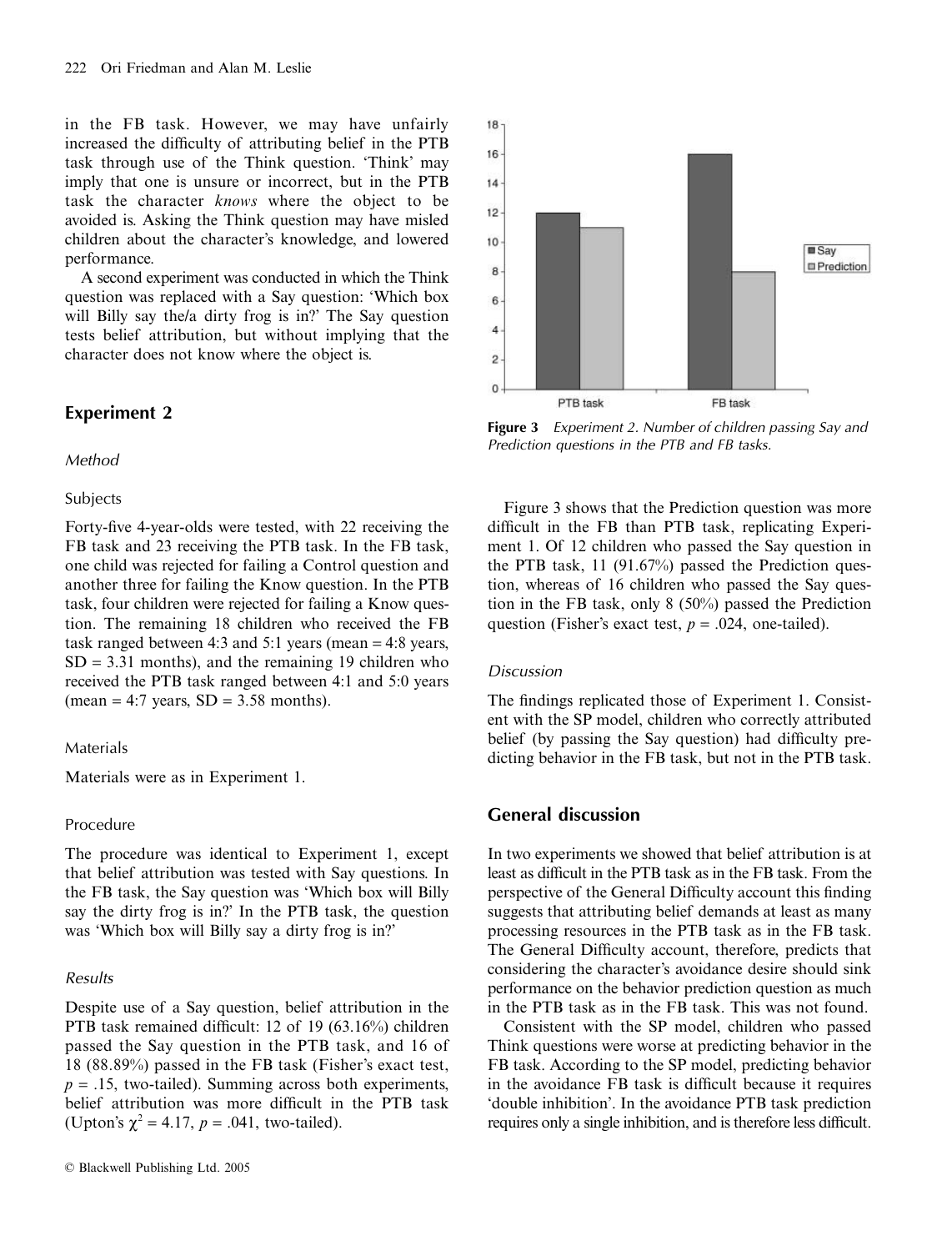in the FB task. However, we may have unfairly increased the difficulty of attributing belief in the PTB task through use of the Think question. 'Think' may imply that one is unsure or incorrect, but in the PTB task the character *knows* where the object to be avoided is. Asking the Think question may have misled children about the character's knowledge, and lowered performance.

A second experiment was conducted in which the Think question was replaced with a Say question: 'Which box will Billy say the/a dirty frog is in?' The Say question tests belief attribution, but without implying that the character does not know where the object is.

## **Experiment 2**

#### *Method*

#### Subjects

Forty-five 4-year-olds were tested, with 22 receiving the FB task and 23 receiving the PTB task. In the FB task, one child was rejected for failing a Control question and another three for failing the Know question. In the PTB task, four children were rejected for failing a Know question. The remaining 18 children who received the FB task ranged between 4:3 and 5:1 years (mean = 4:8 years,  $SD = 3.31$  months), and the remaining 19 children who received the PTB task ranged between 4:1 and 5:0 years (mean = 4:7 years,  $SD = 3.58$  months).

### Materials

Materials were as in Experiment 1.

#### Procedure

The procedure was identical to Experiment 1, except that belief attribution was tested with Say questions. In the FB task, the Say question was 'Which box will Billy say the dirty frog is in?' In the PTB task, the question was 'Which box will Billy say a dirty frog is in?'

#### *Results*

Despite use of a Say question, belief attribution in the PTB task remained difficult: 12 of 19 (63.16%) children passed the Say question in the PTB task, and 16 of 18 (88.89%) passed in the FB task (Fisher's exact test,  $p = .15$ , two-tailed). Summing across both experiments, belief attribution was more difficult in the PTB task (Upton's  $\chi^2 = 4.17$ ,  $p = .041$ , two-tailed).



**Figure 3** *Experiment 2. Number of children passing Say and Prediction questions in the PTB and FB tasks.*

Figure 3 shows that the Prediction question was more difficult in the FB than PTB task, replicating Experiment 1. Of 12 children who passed the Say question in the PTB task, 11 (91.67%) passed the Prediction question, whereas of 16 children who passed the Say question in the FB task, only 8 (50%) passed the Prediction question (Fisher's exact test,  $p = .024$ , one-tailed).

#### *Discussion*

The findings replicated those of Experiment 1. Consistent with the SP model, children who correctly attributed belief (by passing the Say question) had difficulty predicting behavior in the FB task, but not in the PTB task.

## **General discussion**

In two experiments we showed that belief attribution is at least as difficult in the PTB task as in the FB task. From the perspective of the General Difficulty account this finding suggests that attributing belief demands at least as many processing resources in the PTB task as in the FB task. The General Difficulty account, therefore, predicts that considering the character's avoidance desire should sink performance on the behavior prediction question as much in the PTB task as in the FB task. This was not found.

Consistent with the SP model, children who passed Think questions were worse at predicting behavior in the FB task. According to the SP model, predicting behavior in the avoidance FB task is difficult because it requires 'double inhibition'. In the avoidance PTB task prediction requires only a single inhibition, and is therefore less difficult.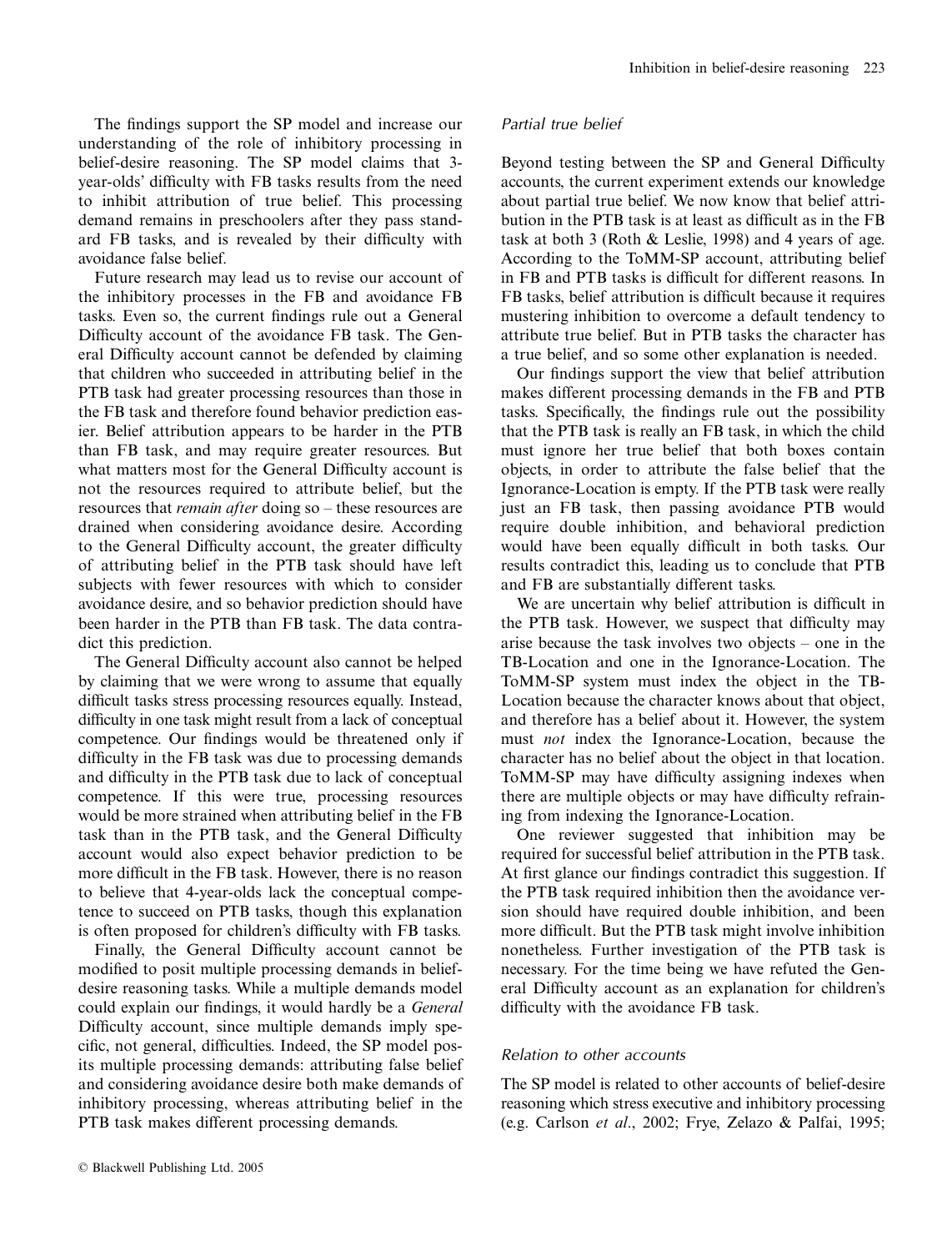The findings support the SP model and increase our understanding of the role of inhibitory processing in belief-desire reasoning. The SP model claims that 3 year-olds' difficulty with FB tasks results from the need to inhibit attribution of true belief. This processing demand remains in preschoolers after they pass standard FB tasks, and is revealed by their difficulty with avoidance false belief.

Future research may lead us to revise our account of the inhibitory processes in the FB and avoidance FB tasks. Even so, the current findings rule out a General Difficulty account of the avoidance FB task. The General Difficulty account cannot be defended by claiming that children who succeeded in attributing belief in the PTB task had greater processing resources than those in the FB task and therefore found behavior prediction easier. Belief attribution appears to be harder in the PTB than FB task, and may require greater resources. But what matters most for the General Difficulty account is not the resources required to attribute belief, but the resources that *remain after* doing so – these resources are drained when considering avoidance desire. According to the General Difficulty account, the greater difficulty of attributing belief in the PTB task should have left subjects with fewer resources with which to consider avoidance desire, and so behavior prediction should have been harder in the PTB than FB task. The data contradict this prediction.

The General Difficulty account also cannot be helped by claiming that we were wrong to assume that equally difficult tasks stress processing resources equally. Instead, difficulty in one task might result from a lack of conceptual competence. Our findings would be threatened only if difficulty in the FB task was due to processing demands and difficulty in the PTB task due to lack of conceptual competence. If this were true, processing resources would be more strained when attributing belief in the FB task than in the PTB task, and the General Difficulty account would also expect behavior prediction to be more difficult in the FB task. However, there is no reason to believe that 4-year-olds lack the conceptual competence to succeed on PTB tasks, though this explanation is often proposed for children's difficulty with FB tasks.

Finally, the General Difficulty account cannot be modified to posit multiple processing demands in beliefdesire reasoning tasks. While a multiple demands model could explain our findings, it would hardly be a *General* Difficulty account, since multiple demands imply specific, not general, difficulties. Indeed, the SP model posits multiple processing demands: attributing false belief and considering avoidance desire both make demands of inhibitory processing, whereas attributing belief in the PTB task makes different processing demands.

Beyond testing between the SP and General Difficulty accounts, the current experiment extends our knowledge about partial true belief. We now know that belief attribution in the PTB task is at least as difficult as in the FB task at both 3 (Roth & Leslie, 1998) and 4 years of age. According to the ToMM-SP account, attributing belief in FB and PTB tasks is difficult for different reasons. In FB tasks, belief attribution is difficult because it requires mustering inhibition to overcome a default tendency to attribute true belief. But in PTB tasks the character has a true belief, and so some other explanation is needed.

Our findings support the view that belief attribution makes different processing demands in the FB and PTB tasks. Specifically, the findings rule out the possibility that the PTB task is really an FB task, in which the child must ignore her true belief that both boxes contain objects, in order to attribute the false belief that the Ignorance-Location is empty. If the PTB task were really just an FB task, then passing avoidance PTB would require double inhibition, and behavioral prediction would have been equally difficult in both tasks. Our results contradict this, leading us to conclude that PTB and FB are substantially different tasks.

We are uncertain why belief attribution is difficult in the PTB task. However, we suspect that difficulty may arise because the task involves two objects – one in the TB-Location and one in the Ignorance-Location. The ToMM-SP system must index the object in the TB-Location because the character knows about that object, and therefore has a belief about it. However, the system must *not* index the Ignorance-Location, because the character has no belief about the object in that location. ToMM-SP may have difficulty assigning indexes when there are multiple objects or may have difficulty refraining from indexing the Ignorance-Location.

One reviewer suggested that inhibition may be required for successful belief attribution in the PTB task. At first glance our findings contradict this suggestion. If the PTB task required inhibition then the avoidance version should have required double inhibition, and been more difficult. But the PTB task might involve inhibition nonetheless. Further investigation of the PTB task is necessary. For the time being we have refuted the General Difficulty account as an explanation for children's difficulty with the avoidance FB task.

#### *Relation to other accounts*

The SP model is related to other accounts of belief-desire reasoning which stress executive and inhibitory processing (e.g. Carlson *et al*., 2002; Frye, Zelazo & Palfai, 1995;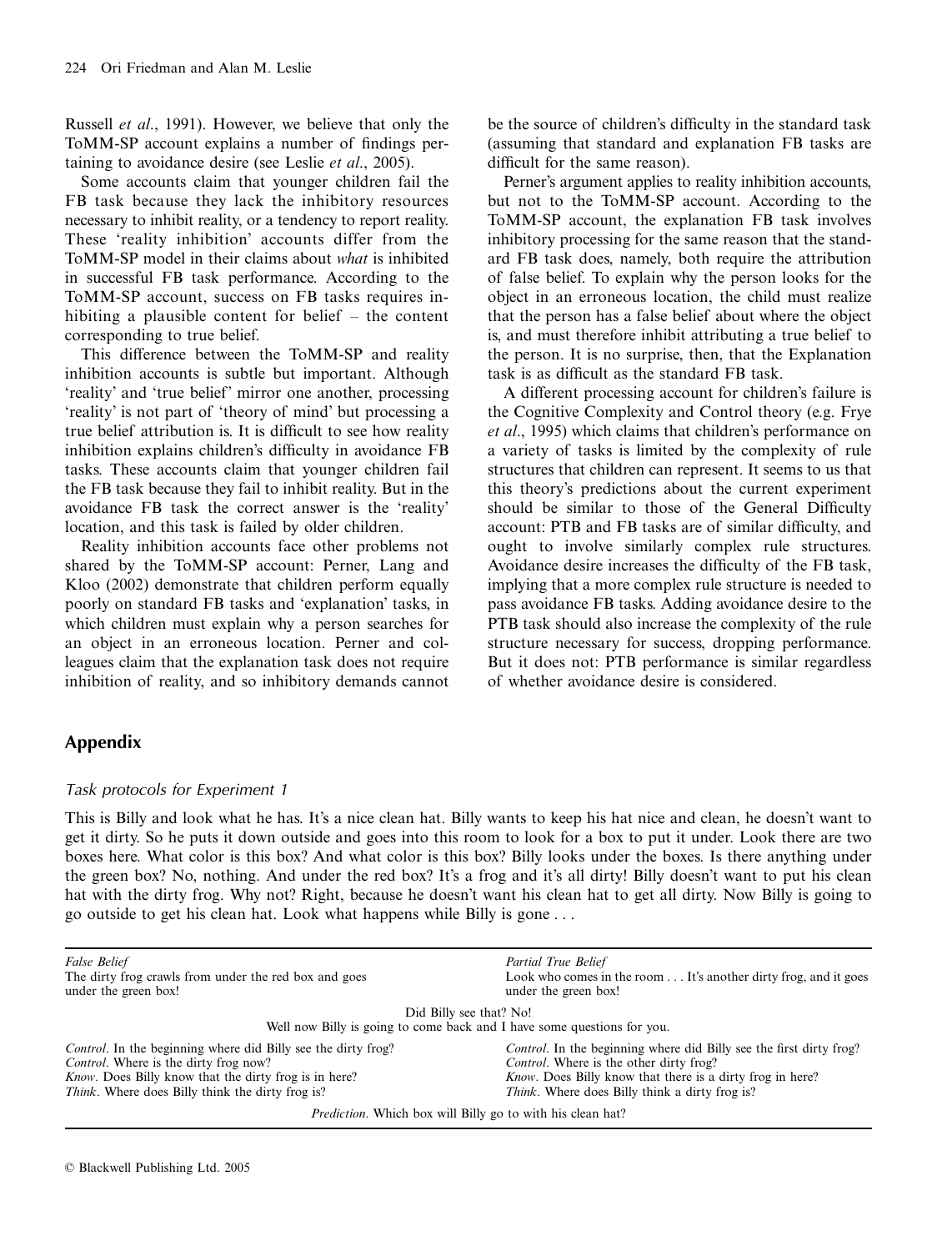Russell *et al*., 1991). However, we believe that only the ToMM-SP account explains a number of findings pertaining to avoidance desire (see Leslie *et al*., 2005).

Some accounts claim that younger children fail the FB task because they lack the inhibitory resources necessary to inhibit reality, or a tendency to report reality. These 'reality inhibition' accounts differ from the ToMM-SP model in their claims about *what* is inhibited in successful FB task performance. According to the ToMM-SP account, success on FB tasks requires inhibiting a plausible content for belief – the content corresponding to true belief.

This difference between the ToMM-SP and reality inhibition accounts is subtle but important. Although 'reality' and 'true belief' mirror one another, processing 'reality' is not part of 'theory of mind' but processing a true belief attribution is. It is difficult to see how reality inhibition explains children's difficulty in avoidance FB tasks. These accounts claim that younger children fail the FB task because they fail to inhibit reality. But in the avoidance FB task the correct answer is the 'reality' location, and this task is failed by older children.

Reality inhibition accounts face other problems not shared by the ToMM-SP account: Perner, Lang and Kloo (2002) demonstrate that children perform equally poorly on standard FB tasks and 'explanation' tasks, in which children must explain why a person searches for an object in an erroneous location. Perner and colleagues claim that the explanation task does not require inhibition of reality, and so inhibitory demands cannot

be the source of children's difficulty in the standard task (assuming that standard and explanation FB tasks are difficult for the same reason).

Perner's argument applies to reality inhibition accounts, but not to the ToMM-SP account. According to the ToMM-SP account, the explanation FB task involves inhibitory processing for the same reason that the standard FB task does, namely, both require the attribution of false belief. To explain why the person looks for the object in an erroneous location, the child must realize that the person has a false belief about where the object is, and must therefore inhibit attributing a true belief to the person. It is no surprise, then, that the Explanation task is as difficult as the standard FB task.

A different processing account for children's failure is the Cognitive Complexity and Control theory (e.g. Frye *et al*., 1995) which claims that children's performance on a variety of tasks is limited by the complexity of rule structures that children can represent. It seems to us that this theory's predictions about the current experiment should be similar to those of the General Difficulty account: PTB and FB tasks are of similar difficulty, and ought to involve similarly complex rule structures. Avoidance desire increases the difficulty of the FB task, implying that a more complex rule structure is needed to pass avoidance FB tasks. Adding avoidance desire to the PTB task should also increase the complexity of the rule structure necessary for success, dropping performance. But it does not: PTB performance is similar regardless of whether avoidance desire is considered.

## **Appendix**

## *Task protocols for Experiment 1*

This is Billy and look what he has. It's a nice clean hat. Billy wants to keep his hat nice and clean, he doesn't want to get it dirty. So he puts it down outside and goes into this room to look for a box to put it under. Look there are two boxes here. What color is this box? And what color is this box? Billy looks under the boxes. Is there anything under the green box? No, nothing. And under the red box? It's a frog and it's all dirty! Billy doesn't want to put his clean hat with the dirty frog. Why not? Right, because he doesn't want his clean hat to get all dirty. Now Billy is going to go outside to get his clean hat. Look what happens while Billy is gone . . .

| <b>False Belief</b>                                                                                | Partial True Belief                                                        |
|----------------------------------------------------------------------------------------------------|----------------------------------------------------------------------------|
| The dirty frog crawls from under the red box and goes                                              | Look who comes in the room $\dots$ It's another dirty frog, and it goes    |
| under the green box!                                                                               | under the green box!                                                       |
| Did Billy see that? No!<br>Well now Billy is going to come back and I have some questions for you. |                                                                            |
| <i>Control.</i> In the beginning where did Billy see the dirty frog?                               | <i>Control.</i> In the beginning where did Billy see the first dirty frog? |
| <i>Control.</i> Where is the dirty frog now?                                                       | <i>Control.</i> Where is the other dirty frog?                             |
| <i>Know</i> . Does Billy know that the dirty frog is in here?                                      | <i>Know</i> . Does Billy know that there is a dirty frog in here?          |
| Think. Where does Billy think the dirty frog is?                                                   | <i>Think</i> . Where does Billy think a dirty frog is?                     |
| <i>Prediction</i> . Which box will Billy go to with his clean hat?                                 |                                                                            |